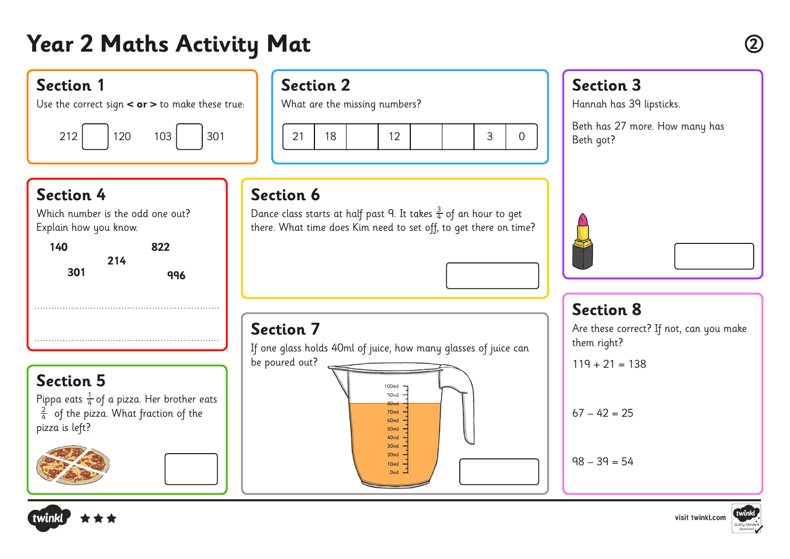# **Year 2 Maths Activity Mat <sup>2</sup>**

### **Section 1**

Use the correct sign **< or >** to make these true:



## **Section 2**

What are the missing numbers?



### **Section 4**

Which number is the odd one out? Explain how you know.

| 140 | 822        |  |
|-----|------------|--|
| 301 | 214<br>996 |  |
|     |            |  |
|     | .          |  |

### **Section 5** Pippa eats  $\frac{1}{4}$  of a pizza. Her brother eats  $\frac{2}{4}$  of the pizza. What fraction of the pizza is left? 4 4





### **Section 3**

Hannah has 39 lipsticks.

Beth has 27 more. How many has Beth got?

### **Section 6**

Dance class starts at half past 9. It takes  $\frac{3}{4}$  of an hour to get there. What time does Kim need to set off, to get there on time? 4

### **Section 8**

Are these correct? If not, can you make them right?

 $119 + 21 = 138$ 

### $67 - 42 = 25$

 $98 - 39 = 54$